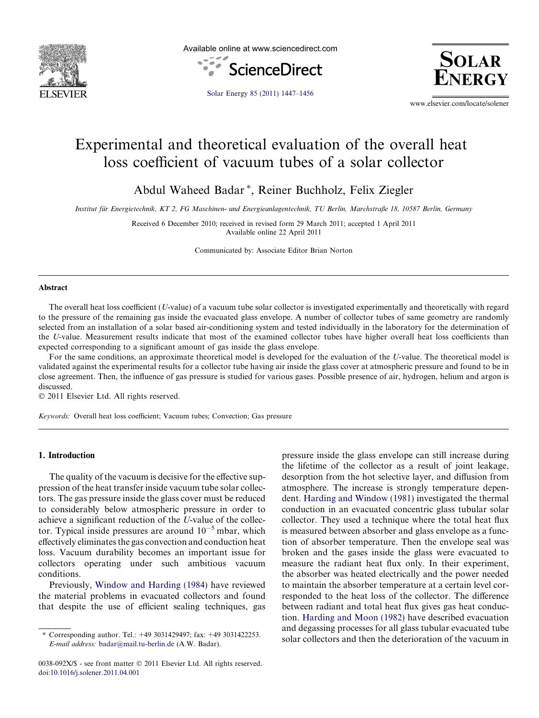

Available online at www.sciencedirect.com





[Solar Energy 85 \(2011\) 1447–1456](http://dx.doi.org/10.1016/j.solener.2011.04.001)

www.elsevier.com/locate/solener

# Experimental and theoretical evaluation of the overall heat loss coefficient of vacuum tubes of a solar collector

Abdul Waheed Badar<sup>\*</sup>, Reiner Buchholz, Felix Ziegler

Institut für Energietechnik, KT 2, FG Maschinen- und Energieanlagentechnik, TU Berlin, Marchstraße 18, 10587 Berlin, Germany

Received 6 December 2010; received in revised form 29 March 2011; accepted 1 April 2011 Available online 22 April 2011

Communicated by: Associate Editor Brian Norton

#### Abstract

The overall heat loss coefficient (U-value) of a vacuum tube solar collector is investigated experimentally and theoretically with regard to the pressure of the remaining gas inside the evacuated glass envelope. A number of collector tubes of same geometry are randomly selected from an installation of a solar based air-conditioning system and tested individually in the laboratory for the determination of the U-value. Measurement results indicate that most of the examined collector tubes have higher overall heat loss coefficients than expected corresponding to a significant amount of gas inside the glass envelope.

For the same conditions, an approximate theoretical model is developed for the evaluation of the U-value. The theoretical model is validated against the experimental results for a collector tube having air inside the glass cover at atmospheric pressure and found to be in close agreement. Then, the influence of gas pressure is studied for various gases. Possible presence of air, hydrogen, helium and argon is discussed.

 $© 2011$  Elsevier Ltd. All rights reserved.

Keywords: Overall heat loss coefficient; Vacuum tubes; Convection; Gas pressure

### 1. Introduction

The quality of the vacuum is decisive for the effective suppression of the heat transfer inside vacuum tube solar collectors. The gas pressure inside the glass cover must be reduced to considerably below atmospheric pressure in order to achieve a significant reduction of the U-value of the collector. Typical inside pressures are around  $10^{-5}$  mbar, which effectively eliminates the gas convection and conduction heat loss. Vacuum durability becomes an important issue for collectors operating under such ambitious vacuum conditions.

Previously, [Window and Harding \(1984\)](#page--1-0) have reviewed the material problems in evacuated collectors and found that despite the use of efficient sealing techniques, gas pressure inside the glass envelope can still increase during the lifetime of the collector as a result of joint leakage, desorption from the hot selective layer, and diffusion from atmosphere. The increase is strongly temperature dependent. [Harding and Window \(1981\)](#page--1-0) investigated the thermal conduction in an evacuated concentric glass tubular solar collector. They used a technique where the total heat flux is measured between absorber and glass envelope as a function of absorber temperature. Then the envelope seal was broken and the gases inside the glass were evacuated to measure the radiant heat flux only. In their experiment, the absorber was heated electrically and the power needed to maintain the absorber temperature at a certain level corresponded to the heat loss of the collector. The difference between radiant and total heat flux gives gas heat conduction. [Harding and Moon \(1982\)](#page--1-0) have described evacuation and degassing processes for all glass tubular evacuated tube solar collectors and then the deterioration of the vacuum in

Corresponding author. Tel.: +49 3031429497; fax: +49 3031422253. E-mail address: [badar@mail.tu-berlin.de](mailto:badar@mail.tu-berlin.de) (A.W. Badar).

<sup>0038-092</sup>X/\$ - see front matter © 2011 Elsevier Ltd. All rights reserved. doi:[10.1016/j.solener.2011.04.001](http://dx.doi.org/10.1016/j.solener.2011.04.001)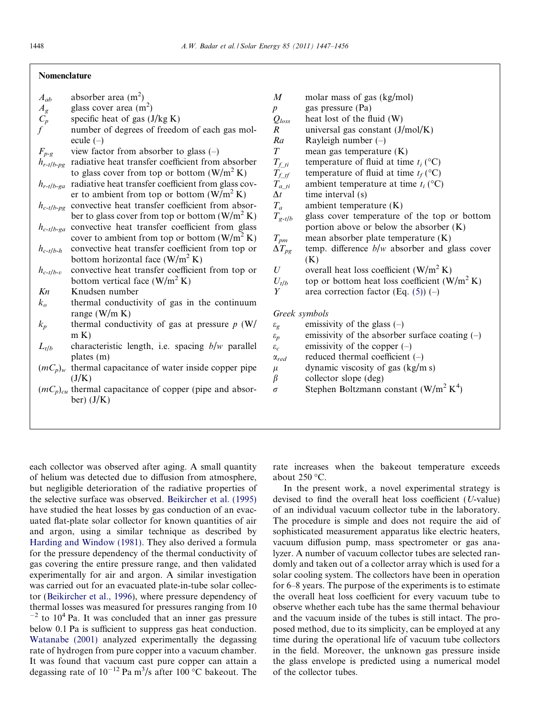### Nomenclature

 $A_{ab}$  absorber area (m<sup>2</sup>)

- $A_g$  glass cover area (m<sup>2</sup>)
- $\overline{C_p}$  specific heat of gas (J/kg K)
- $f$  number of degrees of freedom of each gas molecule (–)
- $F_{p-g}$  view factor from absorber to glass (-)
- $h_{r-t/b-pg}$  radiative heat transfer coefficient from absorber to glass cover from top or bottom  $(W/m^2 K)$
- $h_{r-t/b-ga}$  radiative heat transfer coefficient from glass cover to ambient from top or bottom  $(W/m^2 K)$
- $h_{c-t/b-pg}$  convective heat transfer coefficient from absorber to glass cover from top or bottom  $(W/m^2 K)$
- $h_{c-t/b-ga}$  convective heat transfer coefficient from glass cover to ambient from top or bottom  $(W/m^2 K)$
- $h_{c-t/b-h}$  convective heat transfer coefficient from top or bottom horizontal face  $(W/m^2 K)$
- $h_{c-t/h-v}$  convective heat transfer coefficient from top or bottom vertical face  $(W/m^2 K)$
- $Kn$  Knudsen number
- $k<sub>o</sub>$  thermal conductivity of gas in the continuum range (W/m K)
- $k_p$  thermal conductivity of gas at pressure p (W/  $m K$
- $L_{t/b}$  characteristic length, i.e. spacing  $b/w$  parallel plates (m)
- $(mC_p)_w$  thermal capacitance of water inside copper pipe  $(J/K)$
- $(mC_p)_{cu}$  thermal capacitance of copper (pipe and absorber)  $(J/K)$
- $M$  molar mass of gas (kg/mol) p gas pressure (Pa)  $Q_{loss}$  heat lost of the fluid (W) R universal gas constant  $(J/mol/K)$  $Ra$  Rayleigh number  $(-)$  $T_{f_{\text{L}ti}}$  mean gas temperature (K)<br> $T_{f_{\text{L}ti}}$  temperature of fluid at tim  $T_{f_{\text{L}ti}}$  temperature of fluid at time  $t_i$  (°C)<br> $T_{f_{\text{t}f}}$  temperature of fluid at time  $t_f$  (°C)  $T_{f_t}$  temperature of fluid at time  $t_f$  (°C)<br>  $T_{a_{ti}}$  ambient temperature at time  $t_i$  (°C)  $T_{a_{\text{L}}ti}$  ambient temperature at time  $t_i$  (°C)<br>  $\Delta t$  time interval (s)  $\Delta t$  time interval (s)<br>  $T_a$  ambient tempera  $T_a$  ambient temperature (K)<br>  $T_{g-t/b}$  glass cover temperature glass cover temperature of the top or bottom portion above or below the absorber (K)  $T_{pm}$  mean absorber plate temperature (K)<br> $\Delta T_{pp}$  temp. difference  $b/w$  absorber and g temp. difference  $b/w$  absorber and glass cover  $(K)$ U overall heat loss coefficient  $(W/m^2 K)$  $U_{t/b}$  top or bottom heat loss coefficient (W/m<sup>2</sup> K)<br>  $Y$  area correction factor (Eq. (5)) (-) area correction factor (Eq.  $(5)$ ) (–) Greek symbols  $\varepsilon_g$  emissivity of the glass (–)  $\varepsilon_p$  emissivity of the absorber surface coating (-)
- $\varepsilon_c$  emissivity of the copper (–)
- $\alpha_{red}$  reduced thermal coefficient (-)
- $\mu$  dynamic viscosity of gas (kg/m s)
- $\beta$  collector slope (deg)
- $\sigma$  Stephen Boltzmann constant (W/m<sup>2</sup> K<sup>4</sup>)

each collector was observed after aging. A small quantity of helium was detected due to diffusion from atmosphere, but negligible deterioration of the radiative properties of the selective surface was observed. [Beikircher et al. \(1995\)](#page--1-0) have studied the heat losses by gas conduction of an evacuated flat-plate solar collector for known quantities of air and argon, using a similar technique as described by [Harding and Window \(1981\).](#page--1-0) They also derived a formula for the pressure dependency of the thermal conductivity of gas covering the entire pressure range, and then validated experimentally for air and argon. A similar investigation was carried out for an evacuated plate-in-tube solar collector ([Beikircher et al., 1996\)](#page--1-0), where pressure dependency of thermal losses was measured for pressures ranging from 10  $^{-2}$  to 10<sup>4</sup> Pa. It was concluded that an inner gas pressure below 0.1 Pa is sufficient to suppress gas heat conduction. [Watanabe \(2001\)](#page--1-0) analyzed experimentally the degassing rate of hydrogen from pure copper into a vacuum chamber. It was found that vacuum cast pure copper can attain a degassing rate of  $10^{-12}$  Pa m<sup>3</sup>/s after 100 °C bakeout. The

rate increases when the bakeout temperature exceeds about  $250 °C$ .

In the present work, a novel experimental strategy is devised to find the overall heat loss coefficient (U-value) of an individual vacuum collector tube in the laboratory. The procedure is simple and does not require the aid of sophisticated measurement apparatus like electric heaters, vacuum diffusion pump, mass spectrometer or gas analyzer. A number of vacuum collector tubes are selected randomly and taken out of a collector array which is used for a solar cooling system. The collectors have been in operation for 6–8 years. The purpose of the experiments is to estimate the overall heat loss coefficient for every vacuum tube to observe whether each tube has the same thermal behaviour and the vacuum inside of the tubes is still intact. The proposed method, due to its simplicity, can be employed at any time during the operational life of vacuum tube collectors in the field. Moreover, the unknown gas pressure inside the glass envelope is predicted using a numerical model of the collector tubes.